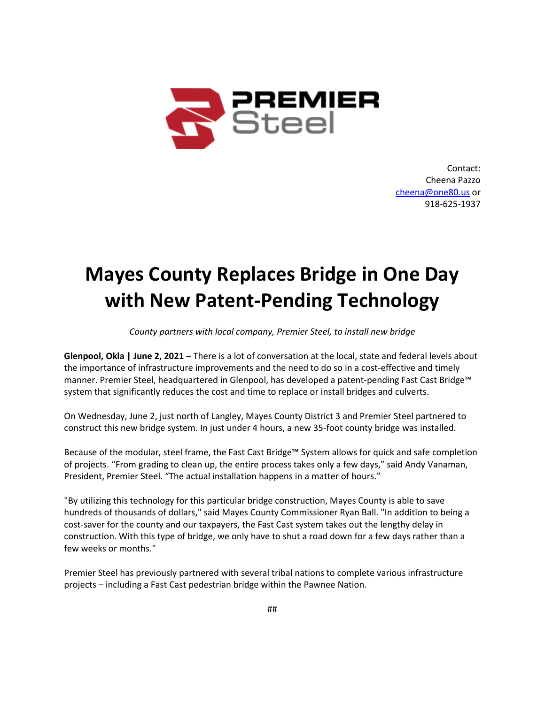

Contact: Cheena Pazzo [cheena@one80.us](mailto:cheena@one80.us) or 918-625-1937

## **Mayes County Replaces Bridge in One Day with New Patent-Pending Technology**

*County partners with local company, Premier Steel, to install new bridge*

**Glenpool, Okla | June 2, 2021** – There is a lot of conversation at the local, state and federal levels about the importance of infrastructure improvements and the need to do so in a cost-effective and timely manner. Premier Steel, headquartered in Glenpool, has developed a patent-pending Fast Cast Bridge™ system that significantly reduces the cost and time to replace or install bridges and culverts.

On Wednesday, June 2, just north of Langley, Mayes County District 3 and Premier Steel partnered to construct this new bridge system. In just under 4 hours, a new 35-foot county bridge was installed.

Because of the modular, steel frame, the Fast Cast Bridge™ System allows for quick and safe completion of projects. "From grading to clean up, the entire process takes only a few days," said Andy Vanaman, President, Premier Steel. "The actual installation happens in a matter of hours."

"By utilizing this technology for this particular bridge construction, Mayes County is able to save hundreds of thousands of dollars," said Mayes County Commissioner Ryan Ball. "In addition to being a cost-saver for the county and our taxpayers, the Fast Cast system takes out the lengthy delay in construction. With this type of bridge, we only have to shut a road down for a few days rather than a few weeks or months."

Premier Steel has previously partnered with several tribal nations to complete various infrastructure projects – including a Fast Cast pedestrian bridge within the Pawnee Nation.